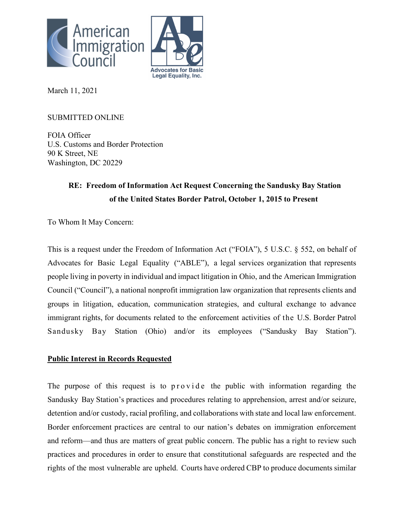



March 11, 2021

## SUBMITTED ONLINE

FOIA Officer U.S. Customs and Border Protection 90 K Street, NE Washington, DC 20229

# **RE: Freedom of Information Act Request Concerning the Sandusky Bay Station of the United States Border Patrol, October 1, 2015 to Present**

To Whom It May Concern:

This is a request under the Freedom of Information Act ("FOIA"), 5 U.S.C. § 552, on behalf of Advocates for Basic Legal Equality ("ABLE"), a legal services organization that represents people living in poverty in individual and impact litigation in Ohio, and the American Immigration Council ("Council"), a national nonprofit immigration law organization that represents clients and groups in litigation, education, communication strategies, and cultural exchange to advance immigrant rights, for documents related to the enforcement activities of the U.S. Border Patrol Sandusky Bay Station (Ohio) and/or its employees ("Sandusky Bay Station").

## **Public Interest in Records Requested**

The purpose of this request is to provide the public with information regarding the Sandusky Bay Station's practices and procedures relating to apprehension, arrest and/or seizure, detention and/or custody, racial profiling, and collaborations with state and local law enforcement. Border enforcement practices are central to our nation's debates on immigration enforcement and reform—and thus are matters of great public concern. The public has a right to review such practices and procedures in order to ensure that constitutional safeguards are respected and the rights of the most vulnerable are upheld. Courts have ordered CBP to produce documents similar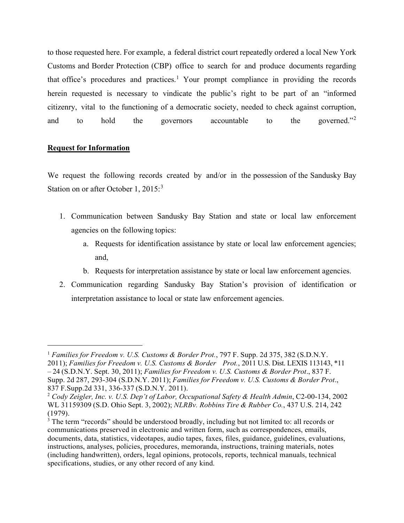to those requested here. For example, a federal district court repeatedly ordered a local New York Customs and Border Protection (CBP) office to search for and produce documents regarding that office's procedures and practices.<sup>[1](#page-1-0)</sup> Your prompt compliance in providing the records herein requested is necessary to vindicate the public's right to be part of an "informed citizenry, vital to the functioning of a democratic society, needed to check against corruption, and to hold the governors accountable to the governed."<sup>[2](#page-1-1)</sup>

### **Request for Information**

We request the following records created by and/or in the possession of the Sandusky Bay Station on or after October 1, 2015:<sup>[3](#page-1-2)</sup>

- 1. Communication between Sandusky Bay Station and state or local law enforcement agencies on the following topics:
	- a. Requests for identification assistance by state or local law enforcement agencies; and,
	- b. Requests for interpretation assistance by state or local law enforcement agencies.
- 2. Communication regarding Sandusky Bay Station's provision of identification or interpretation assistance to local or state law enforcement agencies.

<span id="page-1-0"></span><sup>1</sup> *Families for Freedom v. U.S. Customs & Border Prot.*, 797 F. Supp. 2d 375, 382 (S.D.N.Y. 2011); *Families for Freedom v. U.S. Customs & Border Prot.*, 2011 U.S. Dist. LEXIS 113143, \*11 – 24 (S.D.N.Y. Sept. 30, 2011); *Families for Freedom v. U.S. Customs & Border Prot*., 837 F. Supp. 2d 287, 293-304 (S.D.N.Y. 2011); *Families for Freedom v. U.S. Customs & Border Prot*., 837 F.Supp.2d 331, 336-337 (S.D.N.Y. 2011).

<span id="page-1-1"></span><sup>2</sup> *Cody Zeigler, Inc. v. U.S. Dep't of Labor, Occupational Safety & Health Admin*, C2-00-134, 2002 WL 31159309 (S.D. Ohio Sept. 3, 2002); *NLRBv. Robbins Tire & Rubber Co.*, 437 U.S. 214, 242 (1979).

<span id="page-1-2"></span><sup>&</sup>lt;sup>3</sup> The term "records" should be understood broadly, including but not limited to: all records or communications preserved in electronic and written form, such as correspondences, emails, documents, data, statistics, videotapes, audio tapes, faxes, files, guidance, guidelines, evaluations, instructions, analyses, policies, procedures, memoranda, instructions, training materials, notes (including handwritten), orders, legal opinions, protocols, reports, technical manuals, technical specifications, studies, or any other record of any kind.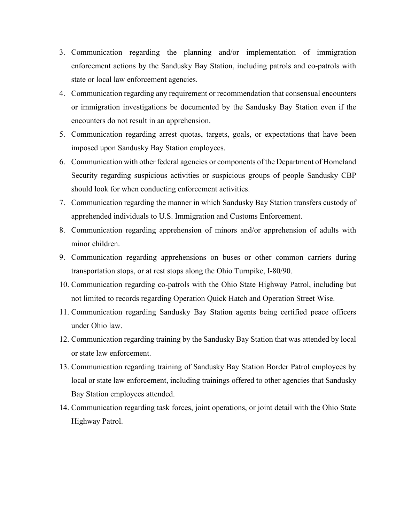- 3. Communication regarding the planning and/or implementation of immigration enforcement actions by the Sandusky Bay Station, including patrols and co-patrols with state or local law enforcement agencies.
- 4. Communication regarding any requirement or recommendation that consensual encounters or immigration investigations be documented by the Sandusky Bay Station even if the encounters do not result in an apprehension.
- 5. Communication regarding arrest quotas, targets, goals, or expectations that have been imposed upon Sandusky Bay Station employees.
- 6. Communication with other federal agencies or components of the Department of Homeland Security regarding suspicious activities or suspicious groups of people Sandusky CBP should look for when conducting enforcement activities.
- 7. Communication regarding the manner in which Sandusky Bay Station transfers custody of apprehended individuals to U.S. Immigration and Customs Enforcement.
- 8. Communication regarding apprehension of minors and/or apprehension of adults with minor children.
- 9. Communication regarding apprehensions on buses or other common carriers during transportation stops, or at rest stops along the Ohio Turnpike, I-80/90.
- 10. Communication regarding co-patrols with the Ohio State Highway Patrol, including but not limited to records regarding Operation Quick Hatch and Operation Street Wise.
- 11. Communication regarding Sandusky Bay Station agents being certified peace officers under Ohio law.
- 12. Communication regarding training by the Sandusky Bay Station that was attended by local or state law enforcement.
- 13. Communication regarding training of Sandusky Bay Station Border Patrol employees by local or state law enforcement, including trainings offered to other agencies that Sandusky Bay Station employees attended.
- 14. Communication regarding task forces, joint operations, or joint detail with the Ohio State Highway Patrol.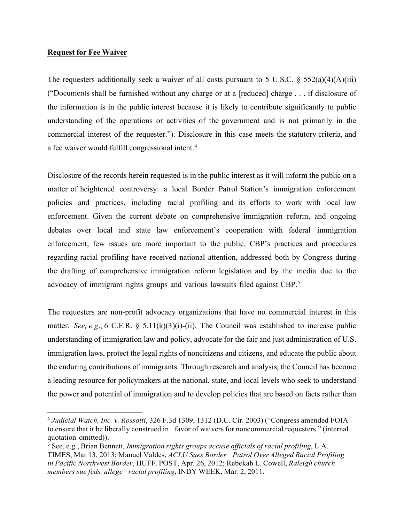### **Request for Fee Waiver**

The requesters additionally seek a waiver of all costs pursuant to 5 U.S.C.  $\S$  552(a)(4)(A)(iii) ("Documents shall be furnished without any charge or at a [reduced] charge . . . if disclosure of the information is in the public interest because it is likely to contribute significantly to public understanding of the operations or activities of the government and is not primarily in the commercial interest of the requester."). Disclosure in this case meets the statutory criteria, and a fee waiver would fulfill congressional intent.<sup>[4](#page-3-0)</sup>

Disclosure of the records herein requested is in the public interest as it will inform the public on a matter of heightened controversy: a local Border Patrol Station's immigration enforcement policies and practices, including racial profiling and its efforts to work with local law enforcement. Given the current debate on comprehensive immigration reform, and ongoing debates over local and state law enforcement's cooperation with federal immigration enforcement, few issues are more important to the public. CBP's practices and procedures regarding racial profiling have received national attention, addressed both by Congress during the drafting of comprehensive immigration reform legislation and by the media due to the advocacy of immigrant rights groups and various lawsuits filed against CBP.<sup>[5](#page-3-1)</sup>

The requesters are non-profit advocacy organizations that have no commercial interest in this matter. *See, e.g.*, 6 C.F.R. § 5.11(k)(3)(i)-(ii). The Council was established to increase public understanding of immigration law and policy, advocate for the fair and just administration of U.S. immigration laws, protect the legal rights of noncitizens and citizens, and educate the public about the enduring contributions of immigrants. Through research and analysis, the Council has become a leading resource for policymakers at the national, state, and local levels who seek to understand the power and potential of immigration and to develop policies that are based on facts rather than

<span id="page-3-0"></span><sup>4</sup> *Judicial Watch, Inc. v. Rossotti*, 326 F.3d 1309, 1312 (D.C. Cir. 2003) ("Congress amended FOIA to ensure that it be liberally construed in favor of waivers for noncommercial requesters." (internal quotation omitted)).

<span id="page-3-1"></span><sup>5</sup> See, e.g., Brian Bennett, *Immigration rights groups accuse officials of racial profiling*, L.A. TIMES, Mar 13, 2013; Manuel Valdes, *ACLU Sues Border Patrol Over Alleged Racial Profiling in Pacific Northwest Border*, HUFF. POST, Apr. 26, 2012; Rebekah L. Cowell, *Raleigh church members sue feds, allege racial profiling*, INDY WEEK, Mar. 2, 2011.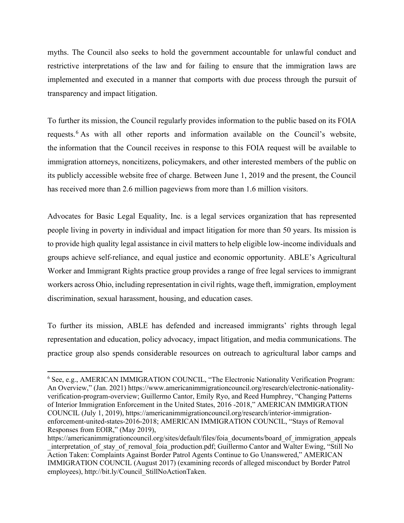myths. The Council also seeks to hold the government accountable for unlawful conduct and restrictive interpretations of the law and for failing to ensure that the immigration laws are implemented and executed in a manner that comports with due process through the pursuit of transparency and impact litigation.

To further its mission, the Council regularly provides information to the public based on its FOIA requests.<sup>[6](#page-4-0)</sup> As with all other reports and information available on the Council's website, the information that the Council receives in response to this FOIA request will be available to immigration attorneys, noncitizens, policymakers, and other interested members of the public on its publicly accessible website free of charge. Between June 1, 2019 and the present, the Council has received more than 2.6 million pageviews from more than 1.6 million visitors.

Advocates for Basic Legal Equality, Inc. is a legal services organization that has represented people living in poverty in individual and impact litigation for more than 50 years. Its mission is to provide high quality legal assistance in civil matters to help eligible low-income individuals and groups achieve self-reliance, and equal justice and economic opportunity. ABLE's Agricultural Worker and Immigrant Rights practice group provides a range of free legal services to immigrant workers across Ohio, including representation in civil rights, wage theft, immigration, employment discrimination, sexual harassment, housing, and education cases.

To further its mission, ABLE has defended and increased immigrants' rights through legal representation and education, policy advocacy, impact litigation, and media communications. The practice group also spends considerable resources on outreach to agricultural labor camps and

<span id="page-4-0"></span><sup>&</sup>lt;sup>6</sup> See, e.g., AMERICAN IMMIGRATION COUNCIL, "The Electronic Nationality Verification Program: An Overview," (Jan. 2021) [https://www.americanimmigrationcouncil.org/research/electronic-nationality](https://www.americanimmigrationcouncil.org/research/electronic-nationality-verification-program-overview)[verification-program-overview;](https://www.americanimmigrationcouncil.org/research/electronic-nationality-verification-program-overview) Guillermo Cantor, Emily Ryo, and Reed Humphrey, "Changing Patterns of Interior Immigration Enforcement in the United States, 2016 -2018," AMERICAN IMMIGRATION COUNCIL (July 1, 2019), https://americanimmigrationcouncil.org/research/interior-immigrationenforcement-united-states-2016-2018; AMERICAN IMMIGRATION COUNCIL, "Stays of Removal Responses from EOIR," (May 2019),

https://americanimmigrationcouncil.org/sites/default/files/foia\_documents/board\_of\_immigration\_appeals interpretation of stay of removal foia production.pdf; Guillermo Cantor and Walter Ewing, "Still No Action Taken: Complaints Against Border Patrol Agents Continue to Go Unanswered," AMERICAN IMMIGRATION COUNCIL (August 2017) (examining records of alleged misconduct by Border Patrol employees), http://bit.ly/Council\_StillNoActionTaken.